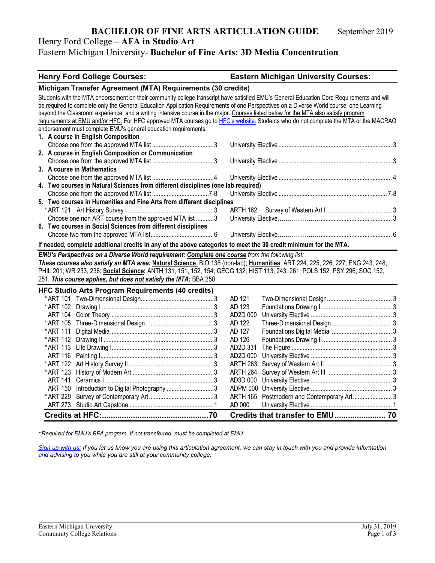## **BACHELOR OF FINE ARTS ARTICULATION GUIDE** September 2019

## Henry Ford College **– AFA in Studio Art** Eastern Michigan University- **Bachelor of Fine Arts: 3D Media Concentration**

| <b>Henry Ford College Courses:</b>                                                                                                        | <b>Eastern Michigan University Courses:</b> |
|-------------------------------------------------------------------------------------------------------------------------------------------|---------------------------------------------|
| Michigan Transfer Agreement (MTA) Requirements (30 credits)                                                                               |                                             |
| Students with the MTA endorsement on their community college transcript have satisfied EMU's General Education Core Requirements and will |                                             |
| be required to complete only the General Education Application Requirements of one Perspectives on a Diverse World course, one Learning   |                                             |
| beyond the Classroom experience, and a writing intensive course in the major. Courses listed below for the MTA also satisfy program       |                                             |
| requirements at EMU and/or HFC. For HFC approved MTA courses go to HFC's website. Students who do not complete the MTA or the MACRAO      |                                             |
| endorsement must complete EMU's general education requirements.                                                                           |                                             |
| 1. A course in English Composition                                                                                                        |                                             |
|                                                                                                                                           |                                             |
| 2. A course in English Composition or Communication                                                                                       |                                             |
|                                                                                                                                           |                                             |
| 3. A course in Mathematics                                                                                                                |                                             |
|                                                                                                                                           |                                             |
| 4. Two courses in Natural Sciences from different disciplines (one lab required)                                                          |                                             |
|                                                                                                                                           |                                             |
| 5. Two courses in Humanities and Fine Arts from different disciplines                                                                     |                                             |
|                                                                                                                                           |                                             |
| Choose one non ART course from the approved MTA list 3                                                                                    |                                             |
| 6. Two courses in Social Sciences from different disciplines                                                                              |                                             |
|                                                                                                                                           |                                             |
| If needed, complete additional credits in any of the above categories to meet the 30 credit minimum for the MTA.                          |                                             |
| EMU's Perspectives on a Diverse World requirement: Complete one course from the following list:                                           |                                             |
| These courses also satisfy an MTA area: Natural Science: BIO 138 (non-lab); Humanities: ART 224, 225, 226, 227; ENG 243, 248;             |                                             |
| PHIL 201; WR 233, 236; Social Science: ANTH 131, 151, 152, 154; GEOG 132; HIST 113, 243, 261; POLS 152; PSY 296; SOC 152,                 |                                             |
| 251. This course applies, but does not satisfy the MTA: BBA 250                                                                           |                                             |
| HFC Studio Arts Program Requirements (40 credits)                                                                                         |                                             |
|                                                                                                                                           | AD 121                                      |
| * ART 102                                                                                                                                 | AD 123                                      |
| ART 104                                                                                                                                   | AD2D 000                                    |
| * ART 105                                                                                                                                 | AD 122                                      |
| * ART 111                                                                                                                                 | AD 127                                      |
|                                                                                                                                           | AD 126                                      |
|                                                                                                                                           | AD2D 331                                    |
|                                                                                                                                           | AD2D 000                                    |
|                                                                                                                                           | <b>ARTH 263</b>                             |
| * ART 123                                                                                                                                 | ARTH 264                                    |
| <b>ART 141</b>                                                                                                                            | AD3D 000                                    |
| Introduction to Digital Photography 3<br><b>ART 150</b>                                                                                   | ADPM 000                                    |
| * ART 229                                                                                                                                 | <b>ARTH 165</b>                             |
|                                                                                                                                           | AD 000                                      |
|                                                                                                                                           | Credits that transfer to EMU 70             |

*\* Required for EMU's BFA program. If not transferred, must be completed at EMU.* 

*[Sign up with us:](https://www.emich.edu/ccr/articulation-agreements/signup.php) If you let us know you are using this articulation agreement, we can stay in touch with you and provide information and advising to you while you are still at your community college.*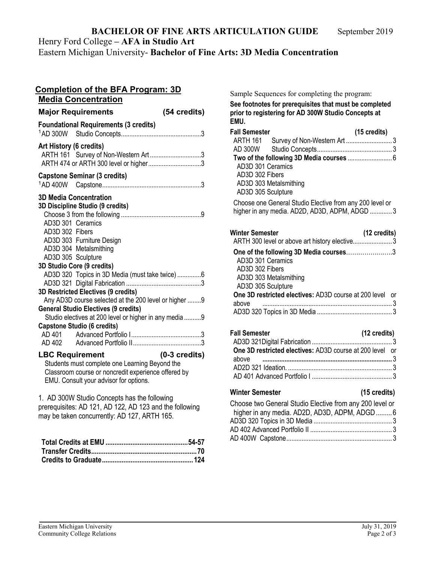## **BACHELOR OF FINE ARTS ARTICULATION GUIDE** September 2019

Henry Ford College **– AFA in Studio Art**

Eastern Michigan University- **Bachelor of Fine Arts: 3D Media Concentration**

## **Completion of the BFA Program: 3D Media Concentration Major Requirements (54 credits) Foundational Requirements (3 credits)** <sup>1</sup>AD 300W Studio Concepts...............................................3 **Art History (6 credits)** ARTH 161 Survey of Non-Western Art ..............................3 ARTH 474 or ARTH 300 level or higher...............................3 **Capstone Seminar (3 credits)** <sup>1</sup>AD 400W Capstone..........................................................3 **3D Media Concentration**

| <b>3D Media Concentration</b> |                                                        |                         |
|-------------------------------|--------------------------------------------------------|-------------------------|
|                               | 3D Discipline Studio (9 credits)                       |                         |
|                               |                                                        |                         |
| AD3D 301 Ceramics             |                                                        |                         |
| AD3D 302 Fibers               |                                                        |                         |
|                               | AD3D 303 Furniture Design                              |                         |
|                               | AD3D 304 Metalsmithing                                 |                         |
| AD3D 305 Sculpture            |                                                        |                         |
|                               | 3D Studio Core (9 credits)                             |                         |
|                               | AD3D 320 Topics in 3D Media (must take twice) 6        |                         |
|                               |                                                        |                         |
|                               | 3D Restricted Electives (9 credits)                    |                         |
|                               | Any AD3D course selected at the 200 level or higher 9  |                         |
|                               | <b>General Studio Electives (9 credits)</b>            |                         |
|                               | Studio electives at 200 level or higher in any media 9 |                         |
|                               | <b>Capstone Studio (6 credits)</b>                     |                         |
|                               |                                                        |                         |
|                               |                                                        |                         |
| <b>LBC Requirement</b>        |                                                        | $(0-3 \text{ credits})$ |

Students must complete one Learning Beyond the Classroom course or noncredit experience offered by EMU. Consult your advisor for options.

1. AD 300W Studio Concepts has the following prerequisites: AD 121, AD 122, AD 123 and the following may be taken concurrently: AD 127, ARTH 165.

Sample Sequences for completing the program:

**See footnotes for prerequisites that must be completed prior to registering for AD 300W Studio Concepts at EMU.**

| <b>Fall Semester</b> |                                                                                                            | $(15 \text{ credits})$ |  |
|----------------------|------------------------------------------------------------------------------------------------------------|------------------------|--|
| ARTH 161             |                                                                                                            |                        |  |
|                      |                                                                                                            |                        |  |
|                      |                                                                                                            |                        |  |
| AD3D 301 Ceramics    |                                                                                                            |                        |  |
| AD3D 302 Fibers      |                                                                                                            |                        |  |
|                      | AD3D 303 Metalsmithing                                                                                     |                        |  |
| AD3D 305 Sculpture   |                                                                                                            |                        |  |
|                      | Choose one General Studio Elective from any 200 level or<br>higher in any media. AD2D, AD3D, ADPM, ADGD  3 |                        |  |

| Winter Semester                                       | (12 credits) |
|-------------------------------------------------------|--------------|
| One of the following 3D Media courses3                |              |
| AD3D 301 Ceramics                                     |              |
| AD3D 302 Fibers                                       |              |
| AD3D 303 Metalsmithing                                |              |
| AD3D 305 Sculpture                                    |              |
| One 3D restricted electives: AD3D course at 200 level | nr           |
| above                                                 |              |
|                                                       |              |

| <b>Fall Semester</b>                                            | (12 credits) |  |
|-----------------------------------------------------------------|--------------|--|
| <b>One 3D restricted electives: AD3D course at 200 level or</b> |              |  |
|                                                                 |              |  |
|                                                                 |              |  |

# **Winter Semester (15 credits)**

| Choose two General Studio Elective from any 200 level or |  |
|----------------------------------------------------------|--|
| higher in any media. AD2D, AD3D, ADPM, ADGD6             |  |
|                                                          |  |
|                                                          |  |
|                                                          |  |